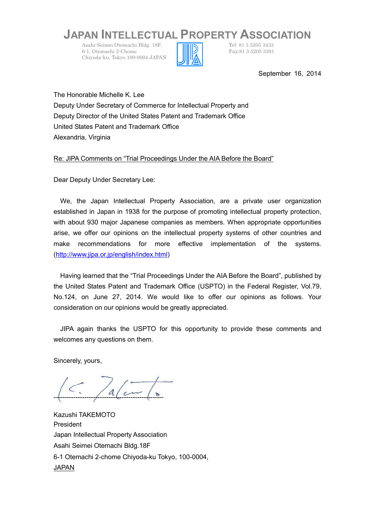## **JAPAN INTELLECTUAL PROPERTY ASSOCIATION**

Asahi-Seimei Otemachi Bldg. 18F.<br>
6-1. Otemachi 2-Chome<br>
Fax:81 3 5205 3391 6-1, Otemachi 2-Chome Chiyoda-ku, Tokyo 100-0004 JAPAN



September 16, 2014

The Honorable Michelle K. Lee Deputy Under Secretary of Commerce for Intellectual Property and Deputy Director of the United States Patent and Trademark Office United States Patent and Trademark Office Alexandria, Virginia

Re: JIPA Comments on "Trial Proceedings Under the AIA Before the Board"

Dear Deputy Under Secretary Lee:

We, the Japan Intellectual Property Association, are a private user organization established in Japan in 1938 for the purpose of promoting intellectual property protection, with about 930 major Japanese companies as members. When appropriate opportunities arise, we offer our opinions on the intellectual property systems of other countries and make recommendations for more effective implementation of the systems. [\(http://www.jipa.or.jp/english/index.htm](http://www.jipa.or.jp/english/index.html)l)

Having learned that the "Trial Proceedings Under the AIA Before the Board", published by the United States Patent and Trademark Office (USPTO) in the Federal Register, Vol.79, No.124, on June 27, 2014. We would like to offer our opinions as follows. Your consideration on our opinions would be greatly appreciated.

JIPA again thanks the USPTO for this opportunity to provide these comments and welcomes any questions on them.

Sincerely, yours,

--------------------------------------------------

Kazushi TAKEMOTO President Japan Intellectual Property Association Asahi Seimei Otemachi Bldg.18F 6-1 Otemachi 2-chome Chiyoda-ku Tokyo, 100-0004, JAPAN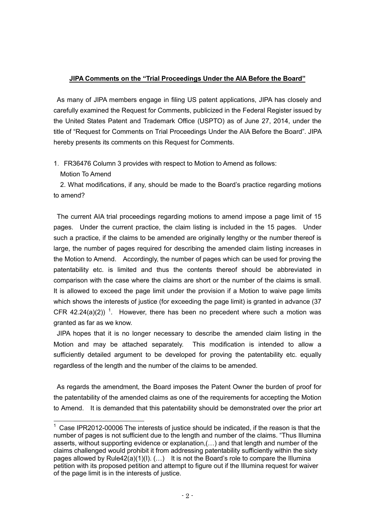## **JIPA Comments on the "Trial Proceedings Under the AIA Before the Board"**

As many of JIPA members engage in filing US patent applications, JIPA has closely and carefully examined the Request for Comments, publicized in the Federal Register issued by the United States Patent and Trademark Office (USPTO) as of June 27, 2014, under the title of "Request for Comments on Trial Proceedings Under the AIA Before the Board". JIPA hereby presents its comments on this Request for Comments.

1.FR36476 Column 3 provides with respect to Motion to Amend as follows:

Motion To Amend

2. What modifications, if any, should be made to the Board's practice regarding motions to amend?

The current AIA trial proceedings regarding motions to amend impose a page limit of 15 pages. Under the current practice, the claim listing is included in the 15 pages. Under such a practice, if the claims to be amended are originally lengthy or the number thereof is large, the number of pages required for describing the amended claim listing increases in the Motion to Amend. Accordingly, the number of pages which can be used for proving the patentability etc. is limited and thus the contents thereof should be abbreviated in comparison with the case where the claims are short or the number of the claims is small. It is allowed to exceed the page limit under the provision if a Motion to waive page limits which shows the interests of justice (for exceeding the page limit) is granted in advance (37 CFR 42.24(a)(2))<sup>1</sup>. However, there has been no precedent where such a motion was granted as far as we know.

JIPA hopes that it is no longer necessary to describe the amended claim listing in the Motion and may be attached separately. This modification is intended to allow a sufficiently detailed argument to be developed for proving the patentability etc. equally regardless of the length and the number of the claims to be amended.

As regards the amendment, the Board imposes the Patent Owner the burden of proof for the patentability of the amended claims as one of the requirements for accepting the Motion to Amend. It is demanded that this patentability should be demonstrated over the prior art

 $1$  Case IPR2012-00006 The interests of justice should be indicated, if the reason is that the number of pages is not sufficient due to the length and number of the claims. "Thus Illumina asserts, without supporting evidence or explanation,(…) and that length and number of the claims challenged would prohibit it from addressing patentability sufficiently within the sixty pages allowed by Rule42(a)(1)(I). (...) It is not the Board's role to compare the Illumina petition with its proposed petition and attempt to figure out if the Illumina request for waiver of the page limit is in the interests of justice.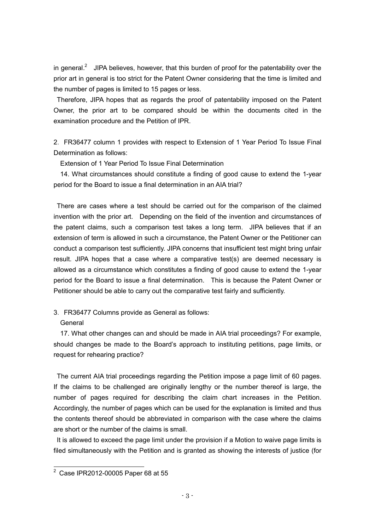in general.<sup>2</sup> JIPA believes, however, that this burden of proof for the patentability over the prior art in general is too strict for the Patent Owner considering that the time is limited and the number of pages is limited to 15 pages or less.

Therefore, JIPA hopes that as regards the proof of patentability imposed on the Patent Owner, the prior art to be compared should be within the documents cited in the examination procedure and the Petition of IPR.

2.FR36477 column 1 provides with respect to Extension of 1 Year Period To Issue Final Determination as follows:

Extension of 1 Year Period To Issue Final Determination

14. What circumstances should constitute a finding of good cause to extend the 1-year period for the Board to issue a final determination in an AIA trial?

There are cases where a test should be carried out for the comparison of the claimed invention with the prior art. Depending on the field of the invention and circumstances of the patent claims, such a comparison test takes a long term. JIPA believes that if an extension of term is allowed in such a circumstance, the Patent Owner or the Petitioner can conduct a comparison test sufficiently. JIPA concerns that insufficient test might bring unfair result. JIPA hopes that a case where a comparative test(s) are deemed necessary is allowed as a circumstance which constitutes a finding of good cause to extend the 1-year period for the Board to issue a final determination. This is because the Patent Owner or Petitioner should be able to carry out the comparative test fairly and sufficiently.

3.FR36477 Columns provide as General as follows:

## **General**

17. What other changes can and should be made in AIA trial proceedings? For example, should changes be made to the Board's approach to instituting petitions, page limits, or request for rehearing practice?

The current AIA trial proceedings regarding the Petition impose a page limit of 60 pages. If the claims to be challenged are originally lengthy or the number thereof is large, the number of pages required for describing the claim chart increases in the Petition. Accordingly, the number of pages which can be used for the explanation is limited and thus the contents thereof should be abbreviated in comparison with the case where the claims are short or the number of the claims is small.

It is allowed to exceed the page limit under the provision if a Motion to waive page limits is filed simultaneously with the Petition and is granted as showing the interests of justice (for

<sup>2</sup> Case IPR2012-00005 Paper 68 at 55